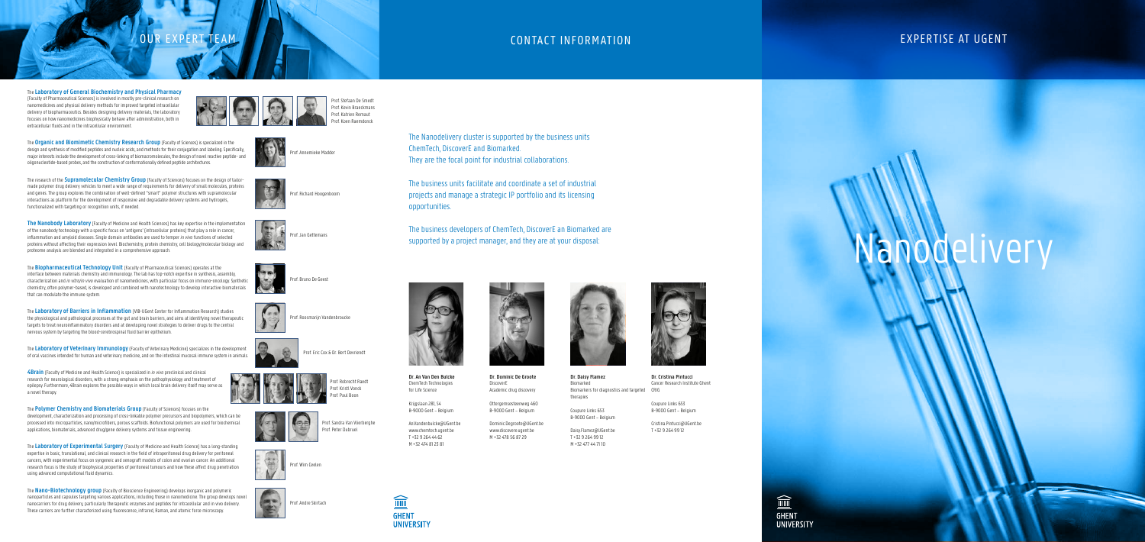The Nanodelivery cluster is supported by the business units ChemTech, DiscoverE and Biomarked. They are the focal point for industrial collaborations.

The business units facilitate and coordinate a set of industrial projects and manage a strategic IP portfolio and its licensing opportunities.

The business developers of ChemTech, DiscoverE an Biomarked are supported by a project manager, and they are at your disposal:



**Dr. An Van Den Bulcke** ChemTech Technologies for Life Science

Krijgslaan 281, S4

**GHENT** 

**UNIVERSITY** 

B-9000 Gent – Belgium



**Dr. Dominic De Groote** DiscoverE Academic drug discovery

Ottergemsesteenweg 460 B-9000 Gent – Belgium

Dominic.Degroote@UGent.be www.discovere.ugent.be M +32 478 56 87 29



**Dr. Daisy Flamez** Biomarked Biomarkers for diagnostics and targeted CRIG therapies

Coupure Links 653 B-9000 Gent – Belgium

Daisy.Flamez@UGent.be T +32 9 264 99 12 M +32 477 44 71 10



**Dr. Cristina Pintucci** Cancer Research Institute Ghent

Coupure Links 653 B-9000 Gent – Belgium

Cristina.Pintucci@UGent.be T +32 9 264 99 12

# Nanodelivery



The **Laboratory of General Biochemistry and Physical Pharmacy** (Faculty of Pharmaceutical Sciences) is involved in mostly pre-clinical research on nanomedicines and physical delivery methods for improved targeted intracellular delivery of biopharmaceutics. Besides designing delivery materials, the laboratory focuses on how nanomedicines biophysically behave after administration, both in extracellular fluids and in the intracellular environment.

The **Organic and Biomimetic Chemistry Research Group** (Faculty of Sciences) is specialized in the design and synthesis of modified peptides and nucleic acids, and methods for their conjugation and labeling. Specifically, major interests include the development of cross-linking of biomacromolecules, the design of novel reactive peptide- and oligonucleotide-based probes, and the construction of conformationally defined peptide architectures.

The research of the **Supramolecular Chemistry Group** (Faculty of Sciences) focuses on the design of tailormade polymer drug delivery vehicles to meet a wide range of requirements for delivery of small molecules, proteins and genes. The group explores the combination of well-defined "smart" polymer structures with supramolecular interactions as platform for the development of responsive and degradable delivery systems and hydrogels, functionalized with targeting or recognition units, if needed.

**The Nanobody Laboratory** (Faculty of Medicine and Health Sciences) has key expertise in the implementation of the nanobody technology with a specific focus on 'antigens' (intracellular proteins) that play a role in cancer, inflammation and amyloid diseases. Single domain antibodies are used to temper *in vivo* functions of selected proteins without affecting their expression level. Biochemistry, protein chemistry, cell biology/molecular biology and proteome analysis are blended and integrated in a comprehensive approach.

The **Biopharmaceutical Technology Unit** (Faculty of Pharmaceutical Sciences) operates at the interface between materials chemistry and immunology. The lab has top-notch expertise in synthesis, assembly, characterization and *in vitro/in vivo* evaluation of nanomedicines, with particular focus on immuno-oncology. Synthetic chemistry, often polymer-based, is developed and combined with nanotechnology to develop interactive biomaterials that can modulate the immune system.

The **Laboratory of Barriers in Inflammation** (VIB-UGent Center for Inflammation Research) studies the physiological and pathological processes at the gut and brain barriers, and aims at identifying novel therapeutic targets to treat neuroinflammatory disorders and at developing novel strategies to deliver drugs to the central nervous system by targeting the blood-cerebrospinal fluid barrier epithelium.

The **Laboratory of Veterinary Immunology** (Faculty of Veterinary Medicine) specializes in the development of oral vaccines intended for human and veterinary medicine, and on the intestinal mucosal immune system in animals.

**4Brain** (Faculty of Medicine and Health Science) is specialized in *in vivo* preclinical and clinical research for neurological disorders, with a strong emphasis on the pathophysiology and treatment of epilepsy. Furthermore, 4Brain explores the possible ways in which local brain delivery itself may serve as a novel therapy.

The **Polymer Chemistry and Biomaterials Group** (Faculty of Sciences) focuses on the development, characterization and processing of cross-linkable polymer precursors and biopolymers, which can be processed into microparticles, nano/microfibers, porous scaffolds. Biofunctional polymers are used for biochemical applications, biomaterials, advanced drug/gene delivery systems and tissue engineering.

The **Laboratory of Experimental Surgery** (Faculty of Medicine and Health Science) has a long-standing expertise in basic, translational, and clinical research in the field of intraperitoneal drug delivery for peritoneal cancers, with experimental focus on syngeneic and xenograft models of colon and ovarian cancer. An additional research focus is the study of biophysical properties of peritoneal tumours and how these affect drug penetration using advanced computational fluid dynamics.

The **Nano-Biotechnology group** (Faculty of Bioscience Engineering) develops inorganic and polymeric nanoparticles and capsules targeting various applications, including those in nanomedicine. The group develops novel nanocarriers for drug delivery, particularly therapeutic enzymes and peptides for intracellular and in vivo delivery. These carriers are further characterized using fluorescence, infrared, Raman, and atomic force microscopy.



Prof. Stefaan De Smedt Prof. Kevin Braeckmans Prof. Katrien Remaut Prof. Koen Raemdonck

Prof. Sandra Van Vlierberghe Prof. Peter Dubruel

Prof. Robrecht Raedt Prof. Kristl Vonck Prof. Paul Boon

Prof. Annemieke Madder

Prof. Richard Hoogenboom

Prof. Jan Gettemans

Prof. Bruno De Geest

Prof. Roosmarijn Vandenbroucke



Prof. Andre Skirtach





# CONTACT INFORMATION AND THE CONTACT INFORMATION CONTACT THE CONTACT INFORMATION